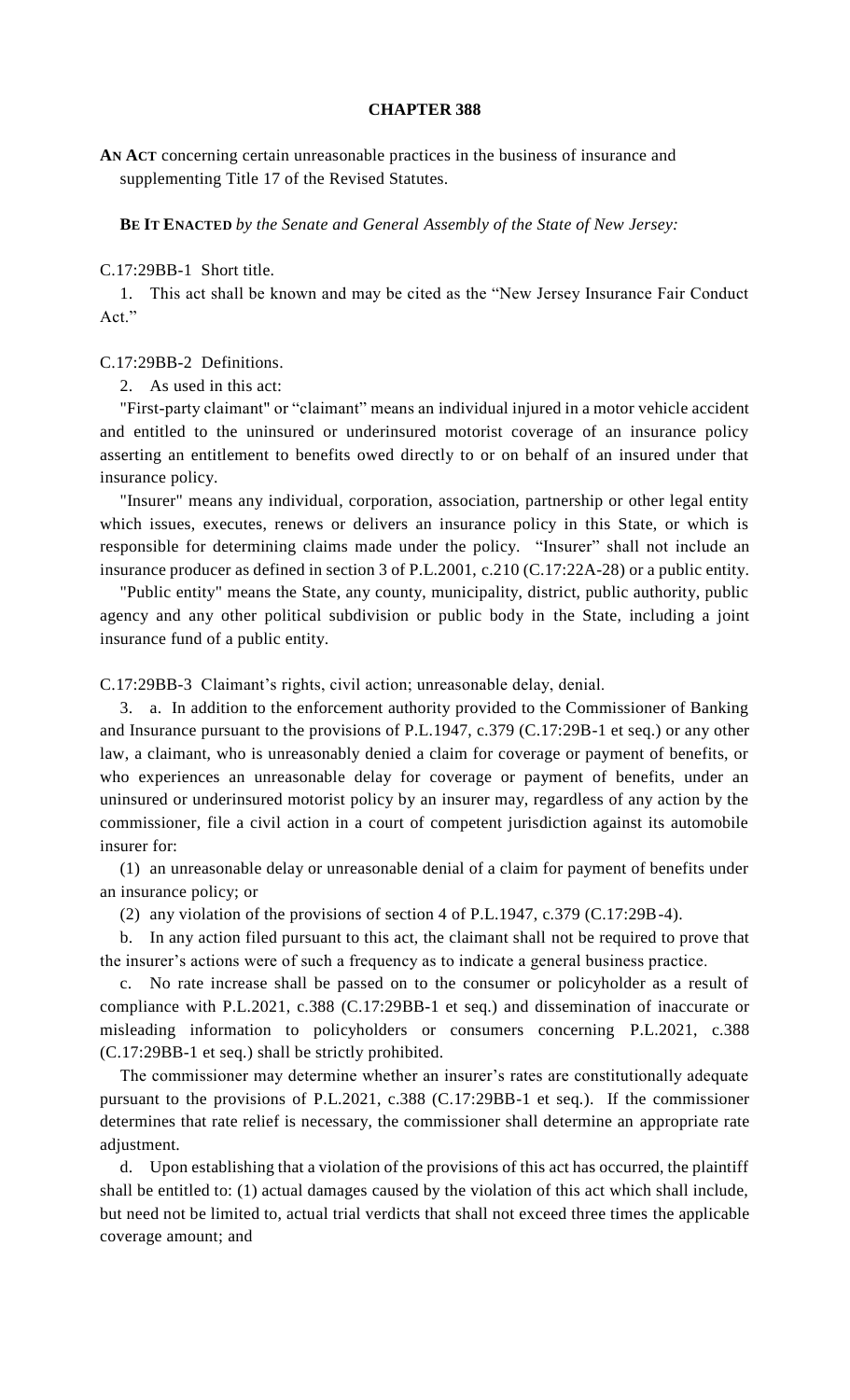## **CHAPTER 388**

**AN ACT** concerning certain unreasonable practices in the business of insurance and supplementing Title 17 of the Revised Statutes.

**BE IT ENACTED** *by the Senate and General Assembly of the State of New Jersey:*

C.17:29BB-1 Short title.

1. This act shall be known and may be cited as the "New Jersey Insurance Fair Conduct Act."

## C.17:29BB-2 Definitions.

2. As used in this act:

"First-party claimant" or "claimant" means an individual injured in a motor vehicle accident and entitled to the uninsured or underinsured motorist coverage of an insurance policy asserting an entitlement to benefits owed directly to or on behalf of an insured under that insurance policy.

"Insurer" means any individual, corporation, association, partnership or other legal entity which issues, executes, renews or delivers an insurance policy in this State, or which is responsible for determining claims made under the policy. "Insurer" shall not include an insurance producer as defined in section 3 of P.L.2001, c.210 (C.17:22A-28) or a public entity.

"Public entity" means the State, any county, municipality, district, public authority, public agency and any other political subdivision or public body in the State, including a joint insurance fund of a public entity.

C.17:29BB-3 Claimant's rights, civil action; unreasonable delay, denial.

3. a. In addition to the enforcement authority provided to the Commissioner of Banking and Insurance pursuant to the provisions of P.L.1947, c.379 (C.17:29B-1 et seq.) or any other law, a claimant, who is unreasonably denied a claim for coverage or payment of benefits, or who experiences an unreasonable delay for coverage or payment of benefits, under an uninsured or underinsured motorist policy by an insurer may, regardless of any action by the commissioner, file a civil action in a court of competent jurisdiction against its automobile insurer for:

(1) an unreasonable delay or unreasonable denial of a claim for payment of benefits under an insurance policy; or

(2) any violation of the provisions of section 4 of P.L.1947, c.379 (C.17:29B-4).

b. In any action filed pursuant to this act, the claimant shall not be required to prove that the insurer's actions were of such a frequency as to indicate a general business practice.

No rate increase shall be passed on to the consumer or policyholder as a result of compliance with P.L.2021, c.388 (C.17:29BB-1 et seq.) and dissemination of inaccurate or misleading information to policyholders or consumers concerning P.L.2021, c.388 (C.17:29BB-1 et seq.) shall be strictly prohibited.

The commissioner may determine whether an insurer's rates are constitutionally adequate pursuant to the provisions of P.L.2021, c.388 (C.17:29BB-1 et seq.). If the commissioner determines that rate relief is necessary, the commissioner shall determine an appropriate rate adjustment.

d. Upon establishing that a violation of the provisions of this act has occurred, the plaintiff shall be entitled to: (1) actual damages caused by the violation of this act which shall include, but need not be limited to, actual trial verdicts that shall not exceed three times the applicable coverage amount; and